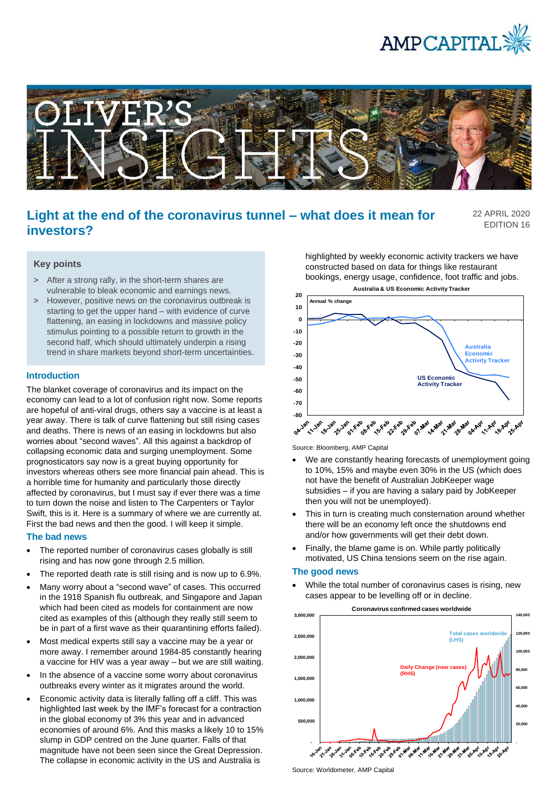



# **Light at the end of the coronavirus tunnel – what does it mean for investors?**

22 APRIL 2020 EDITION 16

## **Key points**

- > After a strong rally, in the short-term shares are vulnerable to bleak economic and earnings news.
- > However, positive news on the coronavirus outbreak is starting to get the upper hand – with evidence of curve flattening, an easing in lockdowns and massive policy stimulus pointing to a possible return to growth in the second half, which should ultimately underpin a rising trend in share markets beyond short-term uncertainties.

## **Introduction**

The blanket coverage of coronavirus and its impact on the economy can lead to a lot of confusion right now. Some reports are hopeful of anti-viral drugs, others say a vaccine is at least a year away. There is talk of curve flattening but still rising cases and deaths. There is news of an easing in lockdowns but also worries about "second waves". All this against a backdrop of collapsing economic data and surging unemployment. Some prognosticators say now is a great buying opportunity for investors whereas others see more financial pain ahead. This is a horrible time for humanity and particularly those directly affected by coronavirus, but I must say if ever there was a time to turn down the noise and listen to The Carpenters or Taylor Swift, this is it. Here is a summary of where we are currently at. First the bad news and then the good. I will keep it simple.

#### **The bad news**

- The reported number of coronavirus cases globally is still rising and has now gone through 2.5 million.
- The reported death rate is still rising and is now up to 6.9%.
- Many worry about a "second wave" of cases. This occurred in the 1918 Spanish flu outbreak, and Singapore and Japan which had been cited as models for containment are now cited as examples of this (although they really still seem to be in part of a first wave as their quarantining efforts failed).
- Most medical experts still say a vaccine may be a year or more away. I remember around 1984-85 constantly hearing a vaccine for HIV was a year away – but we are still waiting.
- In the absence of a vaccine some worry about coronavirus outbreaks every winter as it migrates around the world.
- Economic activity data is literally falling off a cliff. This was highlighted last week by the IMF's forecast for a contraction in the global economy of 3% this year and in advanced economies of around 6%. And this masks a likely 10 to 15% slump in GDP centred on the June quarter. Falls of that magnitude have not been seen since the Great Depression. The collapse in economic activity in the US and Australia is

highlighted by weekly economic activity trackers we have constructed based on data for things like restaurant bookings, energy usage, confidence, foot traffic and jobs.



Source: Bloomberg, AMP Capital

- We are constantly hearing forecasts of unemployment going to 10%, 15% and maybe even 30% in the US (which does not have the benefit of Australian JobKeeper wage subsidies – if you are having a salary paid by JobKeeper then you will not be unemployed).
- This in turn is creating much consternation around whether there will be an economy left once the shutdowns end and/or how governments will get their debt down.
- Finally, the blame game is on. While partly politically motivated, US China tensions seem on the rise again.

# **The good news**

• While the total number of coronavirus cases is rising, new cases appear to be levelling off or in decline.



Source: Worldometer, AMP Capital